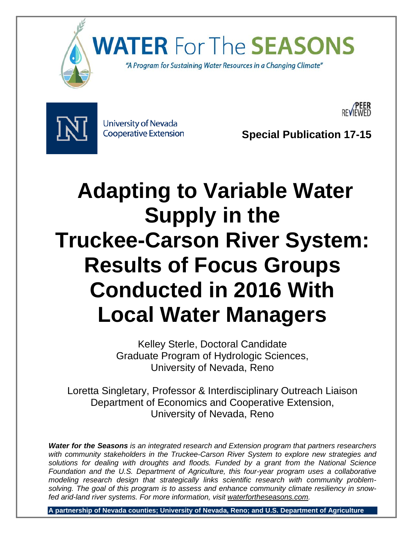

**WATER For** The **SEASONS** 

"A Program for Sustaining Water Resources in a Changing Climate"



University of Nevada

Cooperative Extension **Special Publication 17-15** 

 **/PEER**  REVIEWED

# **Adapting to Variable Water Supply in the Truckee-Carson River System: Results of Focus Groups Conducted in 2016 With Local Water Managers**

Kelley Sterle, Doctoral Candidate Graduate Program of Hydrologic Sciences, University of Nevada, Reno

Loretta Singletary, Professor & Interdisciplinary Outreach Liaison Department of Economics and Cooperative Extension, University of Nevada, Reno

**Water for the Seasons** is an integrated research and Extension program that partners researchers  *solutions for dealing with droughts and floods. Funded by a grant from the National Science*  Foundation and the U.S. Department of Agriculture, this four-year program uses a collaborative  *solving. The goal of this program is to assess and enhance community climate resiliency in snow*with community stakeholders in the Truckee-Carson River System to explore new strategies and *modeling research design that strategically links scientific research with community problemfed arid-land river systems. For more information, visit waterfortheseasons.com.* 

**A partnership of Nevada counties; University of Nevada, Reno; and U.S. Department of Agriculture**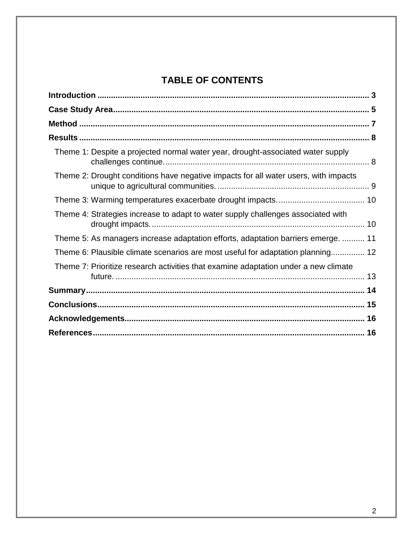# **TABLE OF CONTENTS**

| Theme 1: Despite a projected normal water year, drought-associated water supply     |  |
|-------------------------------------------------------------------------------------|--|
| Theme 2: Drought conditions have negative impacts for all water users, with impacts |  |
|                                                                                     |  |
| Theme 4: Strategies increase to adapt to water supply challenges associated with    |  |
| Theme 5: As managers increase adaptation efforts, adaptation barriers emerge.  11   |  |
| Theme 6: Plausible climate scenarios are most useful for adaptation planning 12     |  |
| Theme 7: Prioritize research activities that examine adaptation under a new climate |  |
|                                                                                     |  |
|                                                                                     |  |
|                                                                                     |  |
|                                                                                     |  |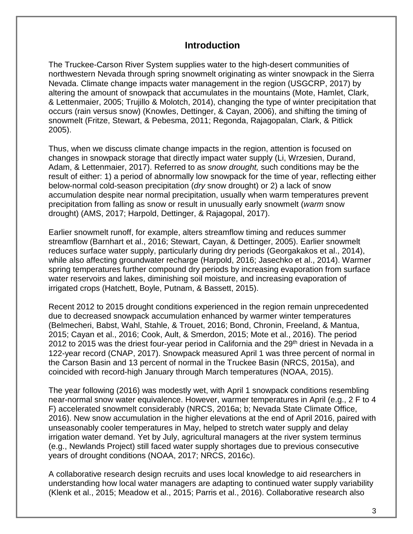# **Introduction**

 The Truckee-Carson River System supplies water to the high-desert communities of altering the amount of snowpack that accumulates in the mountains (Mote, Hamlet, Clark, & Lettenmaier, 2005; Trujillo & Molotch, 2014), changing the type of winter precipitation that occurs (rain versus snow) (Knowles, Dettinger, & Cayan, 2006), and shifting the timing of northwestern Nevada through spring snowmelt originating as winter snowpack in the Sierra Nevada. Climate change impacts water management in the region (USGCRP, 2017) by snowmelt (Fritze, Stewart, & Pebesma, 2011; Regonda, Rajagopalan, Clark, & Pitlick 2005).

 Thus, when we discuss climate change impacts in the region, attention is focused on Adam, & Lettenmaier, 2017). Referred to as *snow drought,* such conditions may be the result of either: 1) a period of abnormally low snowpack for the time of year, reflecting either changes in snowpack storage that directly impact water supply (Li, Wrzesien, Durand, below-normal cold-season precipitation (*dry* snow drought) or 2) a lack of snow accumulation despite near normal precipitation, usually when warm temperatures prevent precipitation from falling as snow or result in unusually early snowmelt (*warm* snow drought) (AMS, 2017; Harpold, Dettinger, & Rajagopal, 2017).

 water reservoirs and lakes, diminishing soil moisture, and increasing evaporation of irrigated crops (Hatchett, Boyle, Putnam, & Bassett, 2015). Earlier snowmelt runoff, for example, alters streamflow timing and reduces summer streamflow (Barnhart et al., 2016; Stewart, Cayan, & Dettinger, 2005). Earlier snowmelt reduces surface water supply, particularly during dry periods (Georgakakos et al., 2014), while also affecting groundwater recharge (Harpold, 2016; Jasechko et al., 2014). Warmer spring temperatures further compound dry periods by increasing evaporation from surface

 122-year record (CNAP, 2017). Snowpack measured April 1 was three percent of normal in the Carson Basin and 13 percent of normal in the Truckee Basin (NRCS, 2015a), and coincided with record-high January through March temperatures (NOAA, 2015). Recent 2012 to 2015 drought conditions experienced in the region remain unprecedented due to decreased snowpack accumulation enhanced by warmer winter temperatures (Belmecheri, Babst, Wahl, Stahle, & Trouet, 2016; Bond, Chronin, Freeland, & Mantua, 2015; Cayan et al., 2016; Cook, Ault, & Smerdon, 2015; Mote et al., 2016). The period 2012 to 2015 was the driest four-year period in California and the 29<sup>th</sup> driest in Nevada in a

 near-normal snow water equivalence. However, warmer temperatures in April (e.g., 2 F to 4 2016). New snow accumulation in the higher elevations at the end of April 2016, paired with The year following (2016) was modestly wet, with April 1 snowpack conditions resembling F) accelerated snowmelt considerably (NRCS, 2016a; b; Nevada State Climate Office, unseasonably cooler temperatures in May, helped to stretch water supply and delay irrigation water demand. Yet by July, agricultural managers at the river system terminus (e.g., Newlands Project) still faced water supply shortages due to previous consecutive years of drought conditions (NOAA, 2017; NRCS, 2016c).

A collaborative research design recruits and uses local knowledge to aid researchers in understanding how local water managers are adapting to continued water supply variability (Klenk et al., 2015; Meadow et al., 2015; Parris et al., 2016). Collaborative research also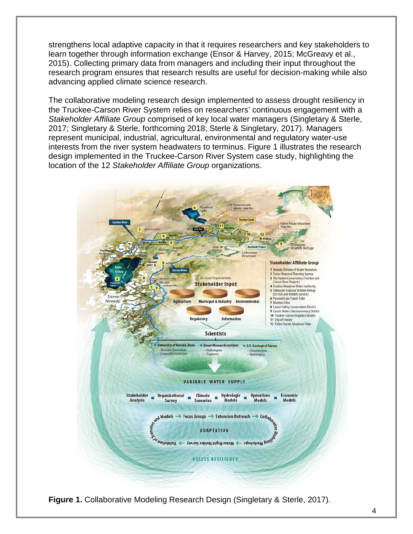learn together through information exchange (Ensor & Harvey, 2015; McGreavy et al., 2015). Collecting primary data from managers and including their input throughout the strengthens local adaptive capacity in that it requires researchers and key stakeholders to research program ensures that research results are useful for decision-making while also advancing applied climate science research.

 2017; Singletary & Sterle, forthcoming 2018; Sterle & Singletary, 2017). Managers interests from the river system headwaters to terminus. Figure 1 illustrates the research  location of the 12 *Stakeholder Affiliate Group* organizations. The collaborative modeling research design implemented to assess drought resiliency in the Truckee-Carson River System relies on researchers' continuous engagement with a *Stakeholder Affiliate Group* comprised of key local water managers (Singletary & Sterle, represent municipal, industrial, agricultural, environmental and regulatory water-use design implemented in the Truckee-Carson River System case study, highlighting the



**Figure 1.** Collaborative Modeling Research Design (Singletary & Sterle, 2017).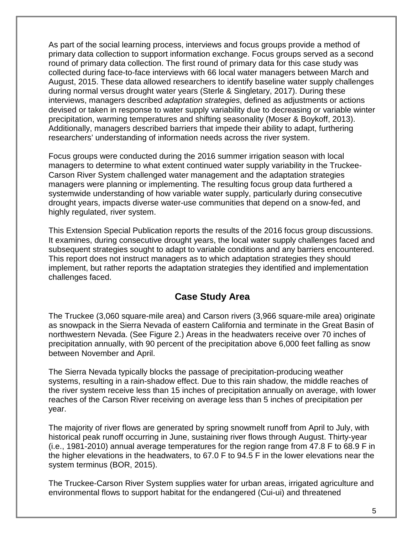As part of the social learning process, interviews and focus groups provide a method of primary data collection to support information exchange. Focus groups served as a second devised or taken in response to water supply variability due to decreasing or variable winter Additionally, managers described barriers that impede their ability to adapt, furthering round of primary data collection. The first round of primary data for this case study was collected during face-to-face interviews with 66 local water managers between March and August, 2015. These data allowed researchers to identify baseline water supply challenges during normal versus drought water years (Sterle & Singletary, 2017). During these interviews, managers described *adaptation strategies*, defined as adjustments or actions precipitation, warming temperatures and shifting seasonality (Moser & Boykoff, 2013). researchers' understanding of information needs across the river system.

 drought years, impacts diverse water-use communities that depend on a snow-fed, and Focus groups were conducted during the 2016 summer irrigation season with local managers to determine to what extent continued water supply variability in the Truckee-Carson River System challenged water management and the adaptation strategies managers were planning or implementing. The resulting focus group data furthered a systemwide understanding of how variable water supply, particularly during consecutive highly regulated, river system.

 This report does not instruct managers as to which adaptation strategies they should This Extension Special Publication reports the results of the 2016 focus group discussions. It examines, during consecutive drought years, the local water supply challenges faced and subsequent strategies sought to adapt to variable conditions and any barriers encountered. implement, but rather reports the adaptation strategies they identified and implementation challenges faced.

# **Case Study Area**

 as snowpack in the Sierra Nevada of eastern California and terminate in the Great Basin of northwestern Nevada. (See Figure 2.) Areas in the headwaters receive over 70 inches of precipitation annually, with 90 percent of the precipitation above 6,000 feet falling as snow The Truckee (3,060 square-mile area) and Carson rivers (3,966 square-mile area) originate between November and April.

The Sierra Nevada typically blocks the passage of precipitation-producing weather systems, resulting in a rain-shadow effect. Due to this rain shadow, the middle reaches of the river system receive less than 15 inches of precipitation annually on average, with lower reaches of the Carson River receiving on average less than 5 inches of precipitation per year.

 the higher elevations in the headwaters, to 67.0 F to 94.5 F in the lower elevations near the The majority of river flows are generated by spring snowmelt runoff from April to July, with historical peak runoff occurring in June, sustaining river flows through August. Thirty-year (i.e., 1981-2010) annual average temperatures for the region range from 47.8 F to 68.9 F in system terminus (BOR, 2015).

 The Truckee-Carson River System supplies water for urban areas, irrigated agriculture and environmental flows to support habitat for the endangered (Cui-ui) and threatened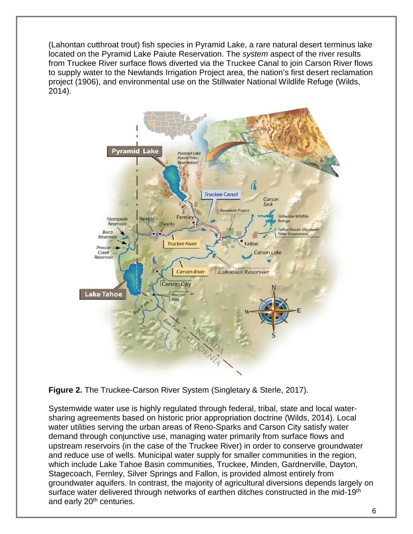to supply water to the Newlands Irrigation Project area, the nation's first desert reclamation (Lahontan cutthroat trout) fish species in Pyramid Lake, a rare natural desert terminus lake located on the Pyramid Lake Paiute Reservation. The *system* aspect of the river results from Truckee River surface flows diverted via the Truckee Canal to join Carson River flows project (1906), and environmental use on the Stillwater National Wildlife Refuge (Wilds, 2014).



**Figure 2.** The Truckee-Carson River System (Singletary & Sterle, 2017).

 Stagecoach, Fernley, Silver Springs and Fallon, is provided almost entirely from groundwater aquifers. In contrast, the majority of agricultural diversions depends largely on and early 20<sup>th</sup> centuries. Systemwide water use is highly regulated through federal, tribal, state and local watersharing agreements based on historic prior appropriation doctrine (Wilds, 2014). Local water utilities serving the urban areas of Reno-Sparks and Carson City satisfy water demand through conjunctive use, managing water primarily from surface flows and upstream reservoirs (in the case of the Truckee River) in order to conserve groundwater and reduce use of wells. Municipal water supply for smaller communities in the region, which include Lake Tahoe Basin communities, Truckee, Minden, Gardnerville, Dayton, surface water delivered through networks of earthen ditches constructed in the mid-19<sup>th</sup>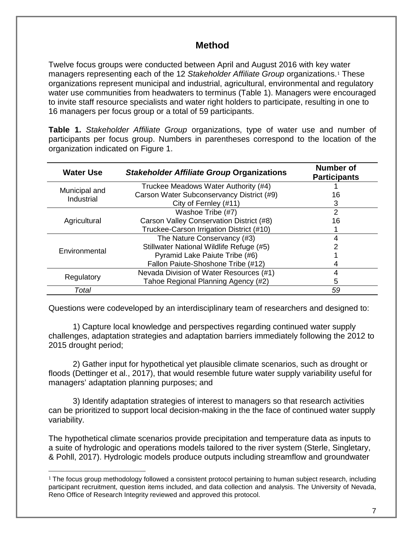# **Method**

 to invite staff resource specialists and water right holders to participate, resulting in one to 16 managers per focus group or a total of 59 participants. Twelve focus groups were conducted between April and August 2016 with key w[a](#page-6-0)ter managers representing each of the 12 *Stakeholder Affiliate Group* organizations.1 These organizations represent municipal and industrial, agricultural, environmental and regulatory water use communities from headwaters to terminus (Table 1). Managers were encouraged

 **Table 1.** *Stakeholder Affiliate Group* organizations, type of water use and number of participants per focus group. Numbers in parentheses correspond to the location of the organization indicated on Figure 1.

| <b>Water Use</b>            | <b>Stakeholder Affiliate Group Organizations</b> | <b>Number of</b><br><b>Participants</b> |
|-----------------------------|--------------------------------------------------|-----------------------------------------|
| Municipal and<br>Industrial | Truckee Meadows Water Authority (#4)             |                                         |
|                             | Carson Water Subconservancy District (#9)        | 16                                      |
|                             | City of Fernley (#11)                            | З                                       |
| Agricultural                | Washoe Tribe (#7)                                | 2                                       |
|                             | Carson Valley Conservation District (#8)         | 16                                      |
|                             | Truckee-Carson Irrigation District (#10)         |                                         |
| Environmental               | The Nature Conservancy (#3)                      |                                         |
|                             | Stillwater National Wildlife Refuge (#5)         |                                         |
|                             | Pyramid Lake Paiute Tribe (#6)                   |                                         |
|                             | Fallon Paiute-Shoshone Tribe (#12)               |                                         |
| Regulatory                  | Nevada Division of Water Resources (#1)          |                                         |
|                             | Tahoe Regional Planning Agency (#2)              | 5                                       |
| Total                       |                                                  | 59                                      |

Questions were codeveloped by an interdisciplinary team of researchers and designed to:

1) Capture local knowledge and perspectives regarding continued water supply challenges, adaptation strategies and adaptation barriers immediately following the 2012 to 2015 drought period;

 2) Gather input for hypothetical yet plausible climate scenarios, such as drought or floods (Dettinger et al., 2017), that would resemble future water supply variability useful for managers' adaptation planning purposes; and

3) Identify adaptation strategies of interest to managers so that research activities can be prioritized to support local decision-making in the the face of continued water supply variability.

The hypothetical climate scenarios provide precipitation and temperature data as inputs to a suite of hydrologic and operations models tailored to the river system (Sterle, Singletary, & Pohll, 2017). Hydrologic models produce outputs including streamflow and groundwater

<span id="page-6-0"></span>j participant recruitment, question items included, and data collection and analysis. The University of Nevada,  $^{\text{1}}$  The focus group methodology followed a consistent protocol pertaining to human subject research, including Reno Office of Research Integrity reviewed and approved this protocol.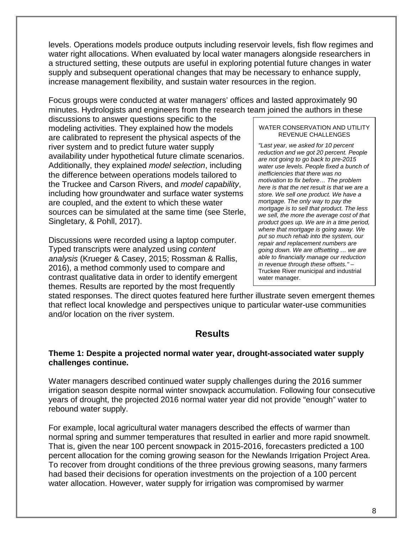a structured setting, these outputs are useful in exploring potential future changes in water supply and subsequent operational changes that may be necessary to enhance supply, levels. Operations models produce outputs including reservoir levels, fish flow regimes and water right allocations. When evaluated by local water managers alongside researchers in increase management flexibility, and sustain water resources in the region.

Focus groups were conducted at water managers' offices and lasted approximately 90 minutes. Hydrologists and engineers from the research team joined the authors in these

 modeling activities. They explained how the models discussions to answer questions specific to the are calibrated to represent the physical aspects of the river system and to predict future water supply availability under hypothetical future climate scenarios. Additionally, they explained *model selection*, including the difference between operations models tailored to the Truckee and Carson Rivers, and *model capability*, including how groundwater and surface water systems are coupled, and the extent to which these water sources can be simulated at the same time (see Sterle, Singletary, & Pohll, 2017).

Discussions were recorded using a laptop computer. Typed transcripts were analyzed using *content analysis* (Krueger & Casey, 2015; Rossman & Rallis, 2016), a method commonly used to compare and contrast qualitative data in order to identify emergent themes. Results are reported by the most frequently

#### WATER CONSERVATION AND UTILITY REVENUE CHALLENGES

*"Last year, we asked for 10 percent reduction and we got 20 percent. People are not going to go back to pre-2015 water use levels. People fixed a bunch of inefficiencies that there was no motivation to fix before… The problem here is that the net result is that we are a store. We sell one product. We have a mortgage. The only way to pay the mortgage is to sell that product. The less we sell, the more the average cost of that product goes up. We are in a time period, where that mortgage is going away. We put so much rehab into the system, our repair and replacement numbers are going down. We are offsetting … we are able to financially manage our reduction in revenue through these offsets." –*  Truckee River municipal and industrial water manager.

stated responses. The direct quotes featured here further illustrate seven emergent themes that reflect local knowledge and perspectives unique to particular water-use communities and/or location on the river system.

## **Results**

### **Theme 1: Despite a projected normal water year, drought-associated water supply challenges continue.**

 years of drought, the projected 2016 normal water year did not provide "enough" water to Water managers described continued water supply challenges during the 2016 summer irrigation season despite normal winter snowpack accumulation. Following four consecutive rebound water supply.

 For example, local agricultural water managers described the effects of warmer than That is, given the near 100 percent snowpack in 2015-2016, forecasters predicted a 100 percent allocation for the coming growing season for the Newlands Irrigation Project Area. normal spring and summer temperatures that resulted in earlier and more rapid snowmelt. To recover from drought conditions of the three previous growing seasons, many farmers had based their decisions for operation investments on the projection of a 100 percent water allocation. However, water supply for irrigation was compromised by warmer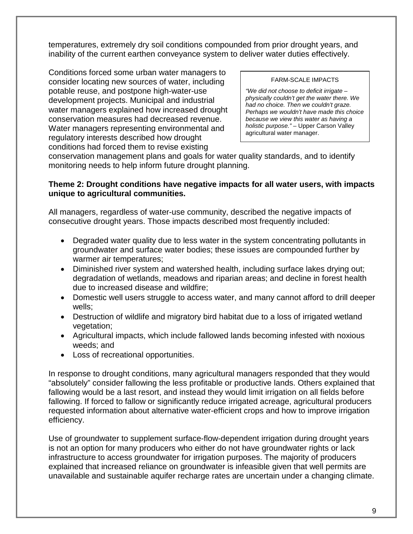inability of the current earthen conveyance system to deliver water duties effectively. temperatures, extremely dry soil conditions compounded from prior drought years, and

Conditions forced some urban water managers to consider locating new sources of water, including potable reuse, and postpone high-water-use development projects. Municipal and industrial water managers explained how increased drought conservation measures had decreased revenue. Water managers representing environmental and regulatory interests described how drought conditions had forced them to revise existing

#### FARM-SCALE IMPACTS

*"We did not choose to deficit irrigate – physically couldn't get the water there. We had no choice. Then we couldn't graze. Perhaps we wouldn't have made this choice because we view this water as having a holistic purpose."* – Upper Carson Valley agricultural water manager.

conservation management plans and goals for water quality standards, and to identify monitoring needs to help inform future drought planning.

## **Theme 2: Drought conditions have negative impacts for all water users, with impacts unique to agricultural communities.**

All managers, regardless of water-use community, described the negative impacts of consecutive drought years. Those impacts described most frequently included:

- groundwater and surface water bodies; these issues are compounded further by • Degraded water quality due to less water in the system concentrating pollutants in warmer air temperatures;
- Diminished river system and watershed health, including surface lakes drying out; degradation of wetlands, meadows and riparian areas; and decline in forest health due to increased disease and wildfire;
- Domestic well users struggle to access water, and many cannot afford to drill deeper wells;
- • Destruction of wildlife and migratory bird habitat due to a loss of irrigated wetland vegetation;
- • Agricultural impacts, which include fallowed lands becoming infested with noxious weeds; and
- Loss of recreational opportunities.

 fallowing. If forced to fallow or significantly reduce irrigated acreage, agricultural producers requested information about alternative water-efficient crops and how to improve irrigation In response to drought conditions, many agricultural managers responded that they would "absolutely" consider fallowing the less profitable or productive lands. Others explained that fallowing would be a last resort, and instead they would limit irrigation on all fields before efficiency.

 is not an option for many producers who either do not have groundwater rights or lack Use of groundwater to supplement surface-flow-dependent irrigation during drought years infrastructure to access groundwater for irrigation purposes. The majority of producers explained that increased reliance on groundwater is infeasible given that well permits are unavailable and sustainable aquifer recharge rates are uncertain under a changing climate.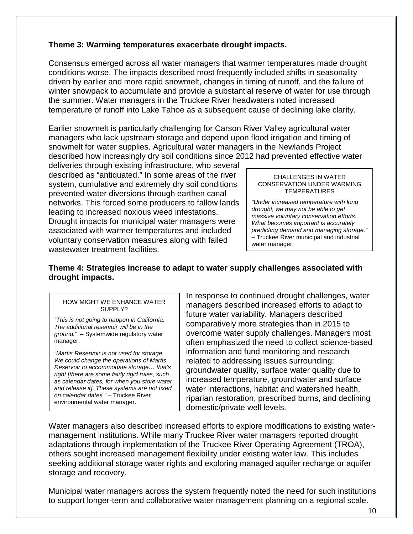## **Theme 3: Warming temperatures exacerbate drought impacts.**

 the summer. Water managers in the Truckee River headwaters noted increased Consensus emerged across all water managers that warmer temperatures made drought conditions worse. The impacts described most frequently included shifts in seasonality driven by earlier and more rapid snowmelt, changes in timing of runoff, and the failure of winter snowpack to accumulate and provide a substantial reserve of water for use through temperature of runoff into Lake Tahoe as a subsequent cause of declining lake clarity.

 Earlier snowmelt is particularly challenging for Carson River Valley agricultural water managers who lack upstream storage and depend upon flood irrigation and timing of snowmelt for water supplies. Agricultural water managers in the Newlands Project described how increasingly dry soil conditions since 2012 had prevented effective water

 described as "antiquated." In some areas of the river deliveries through existing infrastructure, who several system, cumulative and extremely dry soil conditions prevented water diversions through earthen canal networks. This forced some producers to fallow lands leading to increased noxious weed infestations. Drought impacts for municipal water managers were associated with warmer temperatures and included voluntary conservation measures along with failed wastewater treatment facilities.

#### CHALLENGES IN WATER CONSERVATION UNDER WARMING **TEMPERATURES**

*"Under increased temperature with long drought, we may not be able to get massive voluntary conservation efforts. What becomes important is accurately predicting demand and managing storage."*  – Truckee River municipal and industrial water manager.

## **Theme 4: Strategies increase to adapt to water supply challenges associated with drought impacts.**

#### HOW MIGHT WE ENHANCE WATER SUPPLY?

*"This is not going to happen in California. The additional reservoir will be in the ground."* – Systemwide regulatory water manager.

*"Martis Reservoir is not used for storage. We could change the operations of Martis Reservoir to accommodate storage… that's right [there are some fairly rigid rules, such as calendar dates, for when you store water and release it]. These systems are not fixed on calendar dates." –* Truckee River environmental water manager.

In response to continued drought challenges, water managers described increased efforts to adapt to future water variability. Managers described comparatively more strategies than in 2015 to overcome water supply challenges. Managers most often emphasized the need to collect science-based information and fund monitoring and research related to addressing issues surrounding: groundwater quality, surface water quality due to increased temperature, groundwater and surface water interactions, habitat and watershed health, riparian restoration, prescribed burns, and declining domestic/private well levels.

storage and recovery. Water managers also described increased efforts to explore modifications to existing watermanagement institutions. While many Truckee River water managers reported drought adaptations through implementation of the Truckee River Operating Agreement (TROA), others sought increased management flexibility under existing water law. This includes seeking additional storage water rights and exploring managed aquifer recharge or aquifer

Municipal water managers across the system frequently noted the need for such institutions to support longer-term and collaborative water management planning on a regional scale.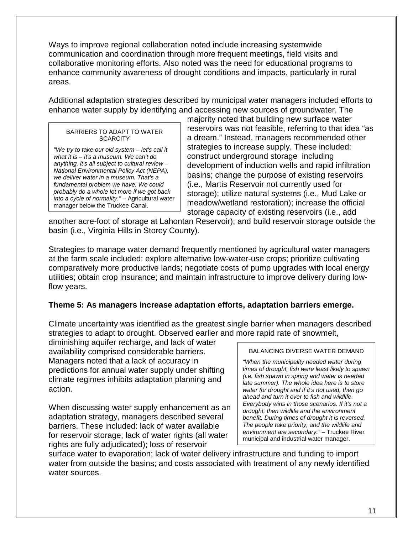Ways to improve regional collaboration noted include increasing systemwide communication and coordination through more frequent meetings, field visits and collaborative monitoring efforts. Also noted was the need for educational programs to enhance community awareness of drought conditions and impacts, particularly in rural areas.

Additional adaptation strategies described by municipal water managers included efforts to enhance water supply by identifying and accessing new sources of groundwater. The

#### BARRIERS TO ADAPT TO WATER **SCARCITY**

*"We try to take our old system* – *let's call it what it is* – *it's a museum. We can't do anything, it's all subject to cultural review – National Environmental Policy Act (NEPA), we deliver water in a museum. That's a fundamental problem we have. We could probably do a whole lot more if we got back into a cycle of normality." –* Agricultural water manager below the Truckee Canal.

 majority noted that building new surface water reservoirs was not feasible, referring to that idea "as a dream." Instead, managers recommended other strategies to increase supply. These included: construct underground storage including development of induction wells and rapid infiltration basins; change the purpose of existing reservoirs (i.e., Martis Reservoir not currently used for storage); utilize natural systems (i.e., Mud Lake or meadow/wetland restoration); increase the official storage capacity of existing reservoirs (i.e., add

another acre-foot of storage at Lahontan Reservoir); and build reservoir storage outside the basin (i.e., Virginia Hills in Storey County).

Strategies to manage water demand frequently mentioned by agricultural water managers at the farm scale included: explore alternative low-water-use crops; prioritize cultivating comparatively more productive lands; negotiate costs of pump upgrades with local energy utilities; obtain crop insurance; and maintain infrastructure to improve delivery during lowflow years.

## **Theme 5: As managers increase adaptation efforts, adaptation barriers emerge.**

Climate uncertainty was identified as the greatest single barrier when managers described strategies to adapt to drought. Observed earlier and more rapid rate of snowmelt,

diminishing aquifer recharge, and lack of water availability comprised considerable barriers. Managers noted that a lack of accuracy in predictions for annual water supply under shifting climate regimes inhibits adaptation planning and action.

 rights are fully adjudicated); loss of reservoir When discussing water supply enhancement as an adaptation strategy, managers described several barriers. These included: lack of water available for reservoir storage; lack of water rights (all water

#### BALANCING DIVERSE WATER DEMAND

*"When the municipality needed water during times of drought, fish were least likely to spawn (i.e. fish spawn in spring and water is needed late summer). The whole idea here is to store water for drought and if it's not used, then go ahead and turn it over to fish and wildlife. Everybody wins in those scenarios. If it's not a drought, then wildlife and the environment benefit. During times of drought it is reversed. The people take priority, and the wildlife and environment are secondary."* – Truckee River municipal and industrial water manager.

 surface water to evaporation; lack of water delivery infrastructure and funding to import water from outside the basins; and costs associated with treatment of any newly identified water sources.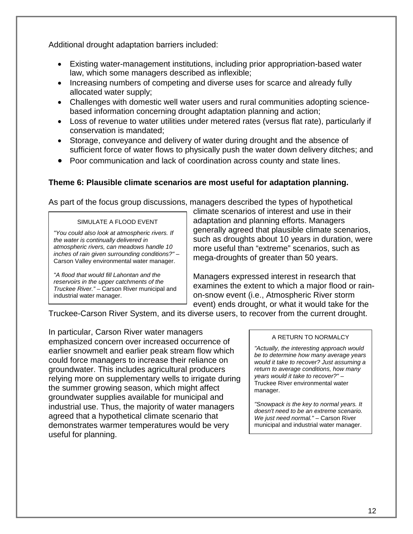Additional drought adaptation barriers included:

- Existing water-management institutions, including prior appropriation-based water law, which some managers described as inflexible;
- Increasing numbers of competing and diverse uses for scarce and already fully allocated water supply;
- based information concerning drought adaptation planning and action; • Challenges with domestic well water users and rural communities adopting science-
- Loss of revenue to water utilities under metered rates (versus flat rate), particularly if conservation is mandated;
- sufficient force of water flows to physically push the water down delivery ditches; and • Storage, conveyance and delivery of water during drought and the absence of
- Poor communication and lack of coordination across county and state lines.

## **Theme 6: Plausible climate scenarios are most useful for adaptation planning.**

As part of the focus group discussions, managers described the types of hypothetical

#### SIMULATE A FLOOD EVENT

*"You could also look at atmospheric rivers. If the water is continually delivered in atmospheric rivers, can meadows handle 10 inches of rain given surrounding conditions?" –*  Carson Valley environmental water manager.

*"A flood that would fill Lahontan and the reservoirs in the upper catchments of the Truckee River."* – Carson River municipal and industrial water manager.

climate scenarios of interest and use in their adaptation and planning efforts. Managers generally agreed that plausible climate scenarios, such as droughts about 10 years in duration, were more useful than "extreme" scenarios, such as mega-droughts of greater than 50 years.

Managers expressed interest in research that examines the extent to which a major flood or rainon-snow event (i.e., Atmospheric River storm event) ends drought, or what it would take for the

Truckee-Carson River System, and its diverse users, to recover from the current drought.

In particular, Carson River water managers emphasized concern over increased occurrence of earlier snowmelt and earlier peak stream flow which could force managers to increase their reliance on groundwater. This includes agricultural producers relying more on supplementary wells to irrigate during the summer growing season, which might affect groundwater supplies available for municipal and industrial use. Thus, the majority of water managers agreed that a hypothetical climate scenario that demonstrates warmer temperatures would be very useful for planning.

## A RETURN TO NORMALCY

*"Actually, the interesting approach would be to determine how many average years would it take to recover? Just assuming a return to average conditions, how many years would it take to recover?" –*  Truckee River environmental water manager.

*"Snowpack is the key to normal years. It doesn't need to be an extreme scenario. We just need normal." –* Carson River municipal and industrial water manager.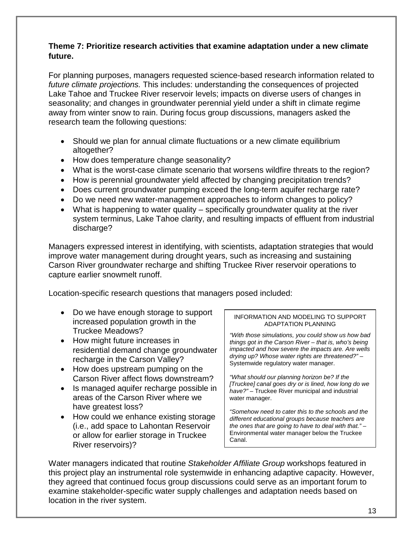## **Theme 7: Prioritize research activities that examine adaptation under a new climate future.**

 seasonality; and changes in groundwater perennial yield under a shift in climate regime research team the following questions: For planning purposes, managers requested science-based research information related to *future climate projections.* This includes: understanding the consequences of projected Lake Tahoe and Truckee River reservoir levels; impacts on diverse users of changes in away from winter snow to rain. During focus group discussions, managers asked the

- • Should we plan for annual climate fluctuations or a new climate equilibrium altogether?
- How does temperature change seasonality?
- What is the worst-case climate scenario that worsens wildfire threats to the region?
- How is perennial groundwater yield affected by changing precipitation trends?
- Does current groundwater pumping exceed the long-term aquifer recharge rate?
- Do we need new water-management approaches to inform changes to policy?
- What is happening to water quality specifically groundwater quality at the river system terminus, Lake Tahoe clarity, and resulting impacts of effluent from industrial discharge?

Managers expressed interest in identifying, with scientists, adaptation strategies that would improve water management during drought years, such as increasing and sustaining Carson River groundwater recharge and shifting Truckee River reservoir operations to capture earlier snowmelt runoff.

Location-specific research questions that managers posed included:

- Do we have enough storage to support increased population growth in the Truckee Meadows?
- How might future increases in residential demand change groundwater recharge in the Carson Valley?
- How does upstream pumping on the Carson River affect flows downstream?
- Is managed aquifer recharge possible in areas of the Carson River where we have greatest loss?
- How could we enhance existing storage (i.e., add space to Lahontan Reservoir or allow for earlier storage in Truckee River reservoirs)?

#### INFORMATION AND MODELING TO SUPPORT ADAPTATION PLANNING

*"With those simulations, you could show us how bad things got in the Carson River – that is, who's being impacted and how severe the impacts are. Are wells drying up? Whose water rights are threatened?"* – Systemwide regulatory water manager.

*"What should our planning horizon be? If the [Truckee] canal goes dry or is lined, how long do we have?" –* Truckee River municipal and industrial water manager.

*"Somehow need to cater this to the schools and the different educational groups because teachers are the ones that are going to have to deal with that." –*  Environmental water manager below the Truckee Canal.

 Water managers indicated that routine *Stakeholder Affiliate Group* workshops featured in this project play an instrumental role systemwide in enhancing adaptive capacity. However, they agreed that continued focus group discussions could serve as an important forum to examine stakeholder-specific water supply challenges and adaptation needs based on location in the river system.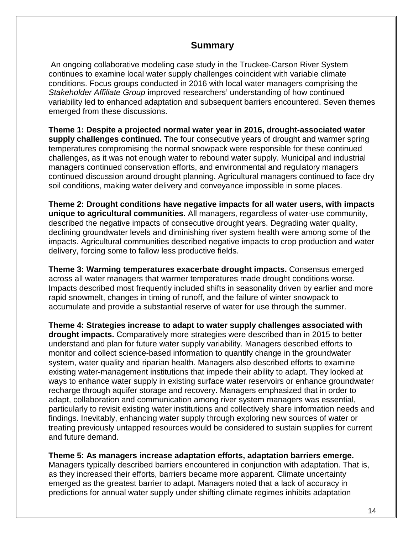# **Summary**

 conditions. Focus groups conducted in 2016 with local water managers comprising the *Stakeholder Affiliate Group* improved researchers' understanding of how continued An ongoing collaborative modeling case study in the Truckee-Carson River System continues to examine local water supply challenges coincident with variable climate variability led to enhanced adaptation and subsequent barriers encountered. Seven themes emerged from these discussions.

 **Theme 1: Despite a projected normal water year in 2016, drought-associated water** continued discussion around drought planning. Agricultural managers continued to face dry **supply challenges continued.** The four consecutive years of drought and warmer spring temperatures compromising the normal snowpack were responsible for these continued challenges, as it was not enough water to rebound water supply. Municipal and industrial managers continued conservation efforts, and environmental and regulatory managers soil conditions, making water delivery and conveyance impossible in some places.

**Theme 2: Drought conditions have negative impacts for all water users, with impacts unique to agricultural communities.** All managers, regardless of water-use community, described the negative impacts of consecutive drought years. Degrading water quality, declining groundwater levels and diminishing river system health were among some of the impacts. Agricultural communities described negative impacts to crop production and water delivery, forcing some to fallow less productive fields.

 accumulate and provide a substantial reserve of water for use through the summer. **Theme 3: Warming temperatures exacerbate drought impacts.** Consensus emerged across all water managers that warmer temperatures made drought conditions worse. Impacts described most frequently included shifts in seasonality driven by earlier and more rapid snowmelt, changes in timing of runoff, and the failure of winter snowpack to

 **Theme 4: Strategies increase to adapt to water supply challenges associated with** treating previously untapped resources would be considered to sustain supplies for current and future demand. **drought impacts.** Comparatively more strategies were described than in 2015 to better understand and plan for future water supply variability. Managers described efforts to monitor and collect science-based information to quantify change in the groundwater system, water quality and riparian health. Managers also described efforts to examine existing water-management institutions that impede their ability to adapt. They looked at ways to enhance water supply in existing surface water reservoirs or enhance groundwater recharge through aquifer storage and recovery. Managers emphasized that in order to adapt, collaboration and communication among river system managers was essential, particularly to revisit existing water institutions and collectively share information needs and findings. Inevitably, enhancing water supply through exploring new sources of water or

**Theme 5: As managers increase adaptation efforts, adaptation barriers emerge.**

 Managers typically described barriers encountered in conjunction with adaptation. That is, as they increased their efforts, barriers became more apparent. Climate uncertainty emerged as the greatest barrier to adapt. Managers noted that a lack of accuracy in predictions for annual water supply under shifting climate regimes inhibits adaptation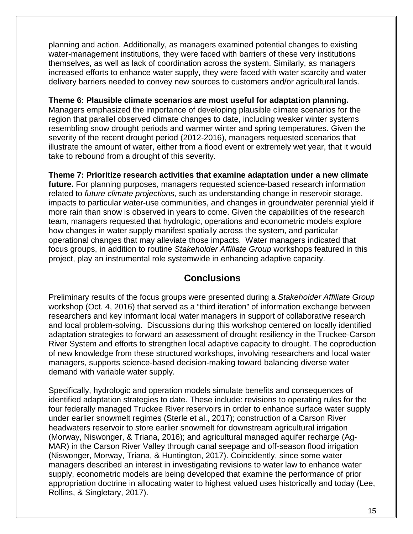planning and action. Additionally, as managers examined potential changes to existing water-management institutions, they were faced with barriers of these very institutions themselves, as well as lack of coordination across the system. Similarly, as managers increased efforts to enhance water supply, they were faced with water scarcity and water delivery barriers needed to convey new sources to customers and/or agricultural lands.

**Theme 6: Plausible climate scenarios are most useful for adaptation planning.**

 Managers emphasized the importance of developing plausible climate scenarios for the illustrate the amount of water, either from a flood event or extremely wet year, that it would take to rebound from a drought of this severity. region that parallel observed climate changes to date, including weaker winter systems resembling snow drought periods and warmer winter and spring temperatures. Given the severity of the recent drought period (2012-2016), managers requested scenarios that

 operational changes that may alleviate those impacts. Water managers indicated that project, play an instrumental role systemwide in enhancing adaptive capacity. **Theme 7: Prioritize research activities that examine adaptation under a new climate future.** For planning purposes, managers requested science-based research information related to *future climate projections,* such as understanding change in reservoir storage, impacts to particular water-use communities, and changes in groundwater perennial yield if more rain than snow is observed in years to come. Given the capabilities of the research team, managers requested that hydrologic, operations and econometric models explore how changes in water supply manifest spatially across the system, and particular focus groups, in addition to routine *Stakeholder Affiliate Group* workshops featured in this

# **Conclusions**

 Preliminary results of the focus groups were presented during a *Stakeholder Affiliate Group*  workshop (Oct. 4, 2016) that served as a "third iteration" of information exchange between managers, supports science-based decision-making toward balancing diverse water researchers and key informant local water managers in support of collaborative research and local problem-solving. Discussions during this workshop centered on locally identified adaptation strategies to forward an assessment of drought resiliency in the Truckee-Carson River System and efforts to strengthen local adaptive capacity to drought. The coproduction of new knowledge from these structured workshops, involving researchers and local water demand with variable water supply.

 under earlier snowmelt regimes (Sterle et al., 2017); construction of a Carson River (Morway, Niswonger, & Triana, 2016); and agricultural managed aquifer recharge (Ag-Specifically, hydrologic and operation models simulate benefits and consequences of identified adaptation strategies to date. These include: revisions to operating rules for the four federally managed Truckee River reservoirs in order to enhance surface water supply headwaters reservoir to store earlier snowmelt for downstream agricultural irrigation MAR) in the Carson River Valley through canal seepage and off-season flood irrigation (Niswonger, Morway, Triana, & Huntington, 2017). Coincidently, since some water managers described an interest in investigating revisions to water law to enhance water supply, econometric models are being developed that examine the performance of prior appropriation doctrine in allocating water to highest valued uses historically and today (Lee, Rollins, & Singletary, 2017).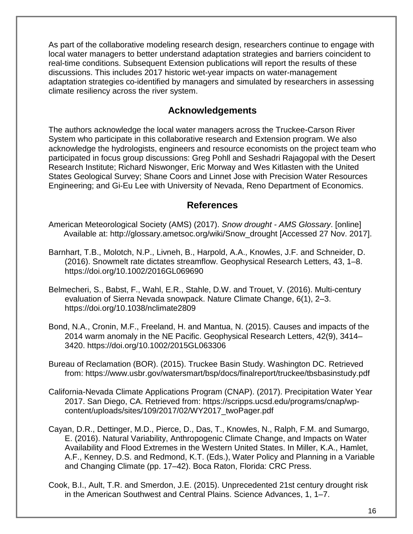As part of the collaborative modeling research design, researchers continue to engage with local water managers to better understand adaptation strategies and barriers coincident to real-time conditions. Subsequent Extension publications will report the results of these discussions. This includes 2017 historic wet-year impacts on water-management adaptation strategies co-identified by managers and simulated by researchers in assessing climate resiliency across the river system.

# **Acknowledgements**

The authors acknowledge the local water managers across the Truckee-Carson River System who participate in this collaborative research and Extension program. We also acknowledge the hydrologists, engineers and resource economists on the project team who participated in focus group discussions: Greg Pohll and Seshadri Rajagopal with the Desert Research Institute; Richard Niswonger, Eric Morway and Wes Kitlasten with the United States Geological Survey; Shane Coors and Linnet Jose with Precision Water Resources Engineering; and Gi-Eu Lee with University of Nevada, Reno Department of Economics.

# **References**

- American Meteorological Society (AMS) (2017). *Snow drought - AMS Glossary*. [online] Available at: http://glossary.ametsoc.org/wiki/Snow\_drought [Accessed 27 Nov. 2017].
- (2016). Snowmelt rate dictates streamflow. Geophysical Research Letters, 43, 1–8. Barnhart, T.B., Molotch, N.P., Livneh, B., Harpold, A.A., Knowles, J.F. and Schneider, D. <https://doi.org/10.1002/2016GL069690>
- Belmecheri, S., Babst, F., Wahl, E.R., Stahle, D.W. and Trouet, V. (2016). Multi-century evaluation of Sierra Nevada snowpack. Nature Climate Change, 6(1), 2–3. https://doi.org/10.1038/nclimate2809
- Bond, N.A., Cronin, M.F., Freeland, H. and Mantua, N. (2015). Causes and impacts of the 2014 warm anomaly in the NE Pacific. Geophysical Research Letters, 42(9), 3414– 3420. https://doi.org/10.1002/2015GL063306
- Bureau of Reclamation (BOR). (2015). Truckee Basin Study. Washington DC. Retrieved from: https://www.usbr.gov/watersmart/bsp/docs/finalreport/truckee/tbsbasinstudy.pdf
- California-Nevada Climate Applications Program (CNAP). (2017). Precipitation Water Year 2017. San Diego, CA. Retrieved from: https://scripps.ucsd.edu/programs/cnap/wpcontent/uploads/sites/109/2017/02/WY2017\_twoPager.pdf
- A.F., Kenney, D.S. and Redmond, K.T. (Eds.), Water Policy and Planning in a Variable Cayan, D.R., Dettinger, M.D., Pierce, D., Das, T., Knowles, N., Ralph, F.M. and Sumargo, E. (2016). Natural Variability, Anthropogenic Climate Change, and Impacts on Water Availability and Flood Extremes in the Western United States. In Miller, K.A., Hamlet, and Changing Climate (pp. 17–42). Boca Raton, Florida: CRC Press.
- Cook, B.I., Ault, T.R. and Smerdon, J.E. (2015). Unprecedented 21st century drought risk in the American Southwest and Central Plains. Science Advances, 1, 1–7.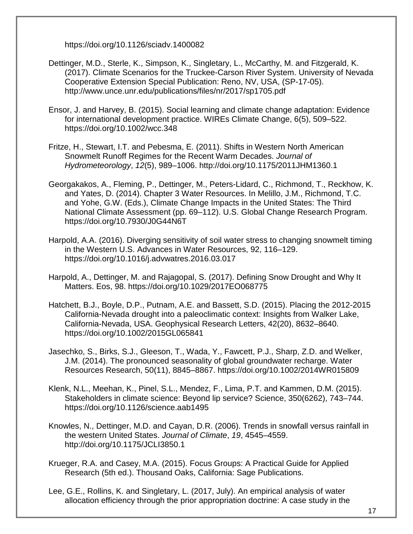https://doi.org/10.1126/sciadv.1400082

- Dettinger, M.D., Sterle, K., Simpson, K., Singletary, L., McCarthy, M. and Fitzgerald, K. (2017). Climate Scenarios for the Truckee-Carson River System. University of Nevada Cooperative Extension Special Publication: Reno, NV, USA, (SP-17-05). http://www.unce.unr.edu/publications/files/nr/2017/sp1705.pdf
- for international development practice. WIREs Climate Change, 6(5), 509–522. Ensor, J. and Harvey, B. (2015). Social learning and climate change adaptation: Evidence https://doi.org/10.1002/wcc.348
- Fritze, H., Stewart, I.T. and Pebesma, E. (2011). Shifts in Western North American Snowmelt Runoff Regimes for the Recent Warm Decades. *Journal of Hydrometeorology*, *12*(5), 989–1006. http://doi.org/10.1175/2011JHM1360.1
- Georgakakos, A., Fleming, P., Dettinger, M., Peters-Lidard, C., Richmond, T., Reckhow, K. and Yates, D. (2014). Chapter 3 Water Resources. In Melillo, J.M., Richmond, T.C. and Yohe, G.W. (Eds.), Climate Change Impacts in the United States: The Third National Climate Assessment (pp. 69–112). U.S. Global Change Research Program. https://doi.org/10.7930/J0G44N6T
- Harpold, A.A. (2016). Diverging sensitivity of soil water stress to changing snowmelt timing in the Western U.S. Advances in Water Resources, 92, 116–129. https://doi.org/10.1016/j.advwatres.2016.03.017
- Harpold, A., Dettinger, M. and Rajagopal, S. (2017). Defining Snow Drought and Why It Matters. Eos, 98. https://doi.org/10.1029/2017EO068775
- California-Nevada drought into a paleoclimatic context: Insights from Walker Lake, Hatchett, B.J., Boyle, D.P., Putnam, A.E. and Bassett, S.D. (2015). Placing the 2012-2015 California-Nevada, USA. Geophysical Research Letters, 42(20), 8632–8640. https://doi.org/10.1002/2015GL065841
- J.M. (2014). The pronounced seasonality of global groundwater recharge. Water Jasechko, S., Birks, S.J., Gleeson, T., Wada, Y., Fawcett, P.J., Sharp, Z.D. and Welker, Resources Research, 50(11), 8845–8867. https://doi.org/10.1002/2014WR015809
- Stakeholders in climate science: Beyond lip service? Science, 350(6262), 743–744. Klenk, N.L., Meehan, K., Pinel, S.L., Mendez, F., Lima, P.T. and Kammen, D.M. (2015). https://doi.org/10.1126/science.aab1495
- Knowles, N., Dettinger, M.D. and Cayan, D.R. (2006). Trends in snowfall versus rainfall in the western United States. *Journal of Climate*, *19*, 4545–4559. http://doi.org/10.1175/JCLI3850.1
- Krueger, R.A. and Casey, M.A. (2015). Focus Groups: A Practical Guide for Applied Research (5th ed.). Thousand Oaks, California: Sage Publications.
- Lee, G.E., Rollins, K. and Singletary, L. (2017, July). An empirical analysis of water allocation efficiency through the prior appropriation doctrine: A case study in the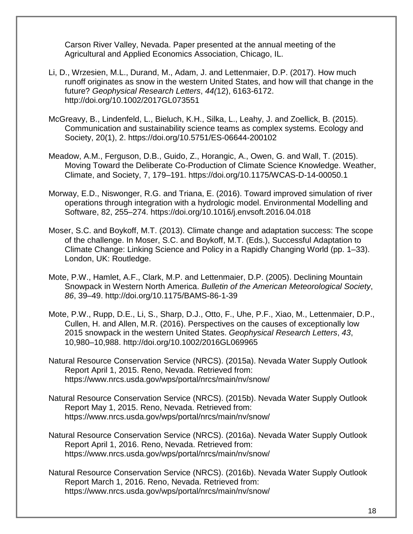Carson River Valley, Nevada. Paper presented at the annual meeting of the Agricultural and Applied Economics Association, Chicago, IL.

- Li, D., Wrzesien, M.L., Durand, M., Adam, J. and Lettenmaier, D.P. (2017). How much runoff originates as snow in the western United States, and how will that change in the future? *Geophysical Research Letters*, *44(*12), 6163-6172. http://doi.org/10.1002/2017GL073551
- McGreavy, B., Lindenfeld, L., Bieluch, K.H., Silka, L., Leahy, J. and Zoellick, B. (2015). Communication and sustainability science teams as complex systems. Ecology and Society, 20(1), 2. https://doi.org/10.5751/ES-06644-200102
- Meadow, A.M., Ferguson, D.B., Guido, Z., Horangic, A., Owen, G. and Wall, T. (2015). Moving Toward the Deliberate Co-Production of Climate Science Knowledge. Weather, Climate, and Society, 7, 179–191. https://doi.org/10.1175/WCAS-D-14-00050.1
- Morway, E.D., Niswonger, R.G. and Triana, E. (2016). Toward improved simulation of river operations through integration with a hydrologic model. Environmental Modelling and Software, 82, 255–274. https://doi.org/10.1016/j.envsoft.2016.04.018
- Moser, S.C. and Boykoff, M.T. (2013). Climate change and adaptation success: The scope of the challenge. In Moser, S.C. and Boykoff, M.T. (Eds.), Successful Adaptation to Climate Change: Linking Science and Policy in a Rapidly Changing World (pp. 1–33). London, UK: Routledge.
- Mote, P.W., Hamlet, A.F., Clark, M.P. and Lettenmaier, D.P. (2005). Declining Mountain Snowpack in Western North America. *Bulletin of the American Meteorological Society*, *86*, 39–49. http://doi.org/10.1175/BAMS-86-1-39
- Cullen, H. and Allen, M.R. (2016). Perspectives on the causes of exceptionally low Mote, P.W., Rupp, D.E., Li, S., Sharp, D.J., Otto, F., Uhe, P.F., Xiao, M., Lettenmaier, D.P., 2015 snowpack in the western United States. *Geophysical Research Letters*, *43*, 10,980–10,988. http://doi.org/10.1002/2016GL069965
- Natural Resource Conservation Service (NRCS). (2015a). Nevada Water Supply Outlook Report April 1, 2015. Reno, Nevada. Retrieved from: https://www.nrcs.usda.gov/wps/portal/nrcs/main/nv/snow/
- Report May 1, 2015. Reno, Nevada. Retrieved from: Natural Resource Conservation Service (NRCS). (2015b). Nevada Water Supply Outlook https://www.nrcs.usda.gov/wps/portal/nrcs/main/nv/snow/
- Natural Resource Conservation Service (NRCS). (2016a). Nevada Water Supply Outlook Report April 1, 2016. Reno, Nevada. Retrieved from: https://www.nrcs.usda.gov/wps/portal/nrcs/main/nv/snow/
- Report March 1, 2016. Reno, Nevada. Retrieved from: Natural Resource Conservation Service (NRCS). (2016b). Nevada Water Supply Outlook https://www.nrcs.usda.gov/wps/portal/nrcs/main/nv/snow/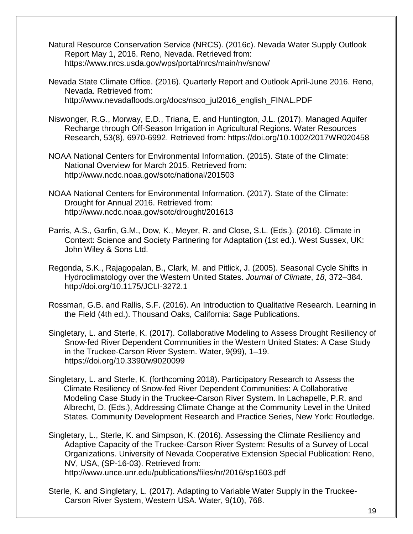- Natural Resource Conservation Service (NRCS). (2016c). Nevada Water Supply Outlook Report May 1, 2016. Reno, Nevada. Retrieved from: https://www.nrcs.usda.gov/wps/portal/nrcs/main/nv/snow/
- Nevada State Climate Office. (2016). Quarterly Report and Outlook April-June 2016. Reno, Nevada. Retrieved from: http://www.nevadafloods.org/docs/nsco\_jul2016\_english\_FINAL.PDF
- Niswonger, R.G., Morway, E.D., Triana, E. and Huntington, J.L. (2017). Managed Aquifer Recharge through Off-Season Irrigation in Agricultural Regions. Water Resources Research, 53(8), 6970-6992. Retrieved from: https://doi.org/10.1002/2017WR020458
- NOAA National Centers for Environmental Information. (2015). State of the Climate: National Overview for March 2015. Retrieved from: <http://www.ncdc.noaa.gov/sotc/national/201503>
- NOAA National Centers for Environmental Information. (2017). State of the Climate: Drought for Annual 2016. Retrieved from: http://www.ncdc.noaa.gov/sotc/drought/201613
- Parris, A.S., Garfin, G.M., Dow, K., Meyer, R. and Close, S.L. (Eds.). (2016). Climate in Context: Science and Society Partnering for Adaptation (1st ed.). West Sussex, UK: John Wiley & Sons Ltd.
- Regonda, S.K., Rajagopalan, B., Clark, M. and Pitlick, J. (2005). Seasonal Cycle Shifts in Hydroclimatology over the Western United States. *Journal of Climate*, *18*, 372–384. http://doi.org/10.1175/JCLI-3272.1
- Rossman, G.B. and Rallis, S.F. (2016). An Introduction to Qualitative Research. Learning in the Field (4th ed.). Thousand Oaks, California: Sage Publications.
- in the Truckee-Carson River System. Water, 9(99), 1–19. Singletary, L. and Sterle, K. (2017). Collaborative Modeling to Assess Drought Resiliency of Snow-fed River Dependent Communities in the Western United States: A Case Study <https://doi.org/10.3390/w9020099>
- Modeling Case Study in the Truckee-Carson River System. In Lachapelle, P.R. and Singletary, L. and Sterle, K. (forthcoming 2018). Participatory Research to Assess the Climate Resiliency of Snow-fed River Dependent Communities: A Collaborative Albrecht, D. (Eds.), Addressing Climate Change at the Community Level in the United States. Community Development Research and Practice Series, New York: Routledge.
- Organizations. University of Nevada Cooperative Extension Special Publication: Reno, Singletary, L., Sterle, K. and Simpson, K. (2016). Assessing the Climate Resiliency and Adaptive Capacity of the Truckee-Carson River System: Results of a Survey of Local NV, USA, (SP-16-03). Retrieved from: <http://www.unce.unr.edu/publications/files/nr/2016/sp1603.pdf>
- Sterle, K. and Singletary, L. (2017). Adapting to Variable Water Supply in the Truckee-Carson River System, Western USA. Water, 9(10), 768.